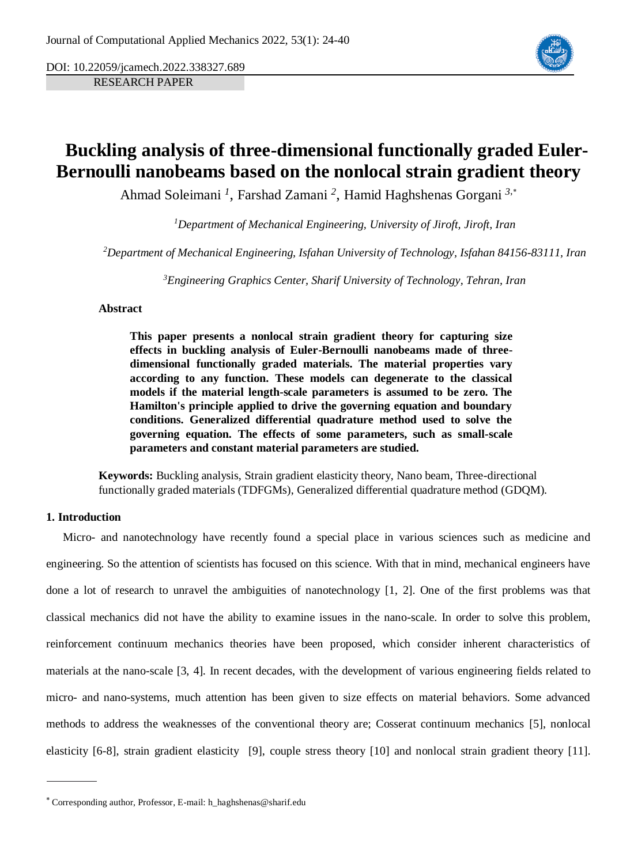DOI: 10.22059/jcamech.2022.338327.689 RESEARCH PAPER



# **Buckling analysis of three-dimensional functionally graded Euler-Bernoulli nanobeams based on the nonlocal strain gradient theory**

Ahmad Soleimani *<sup>1</sup>* , Farshad Zamani *<sup>2</sup>* , Hamid Haghshenas Gorgani *<sup>3</sup>*,\*

*<sup>1</sup>Department of Mechanical Engineering, University of Jiroft, Jiroft, Iran*

*<sup>2</sup>Department of Mechanical Engineering, Isfahan University of Technology, Isfahan 84156-83111, Iran*

*<sup>3</sup>Engineering Graphics Center, Sharif University of Technology, Tehran, Iran*

#### **Abstract**

**This paper presents a nonlocal strain gradient theory for capturing size effects in buckling analysis of Euler-Bernoulli nanobeams made of threedimensional functionally graded materials. The material properties vary according to any function. These models can degenerate to the classical models if the material length-scale parameters is assumed to be zero. The Hamilton's principle applied to drive the governing equation and boundary conditions. Generalized differential quadrature method used to solve the governing equation. The effects of some parameters, such as small-scale parameters and constant material parameters are studied.**

**Keywords:** Buckling analysis, Strain gradient elasticity theory, Nano beam, Three-directional functionally graded materials (TDFGMs), Generalized differential quadrature method (GDQM).

## **1. Introduction**

Micro- and nanotechnology have recently found a special place in various sciences such as medicine and engineering. So the attention of scientists has focused on this science. With that in mind, mechanical engineers have done a lot of research to unravel the ambiguities of nanotechnology [\[1,](#page-12-0) [2\]](#page-12-1). One of the first problems was that classical mechanics did not have the ability to examine issues in the nano-scale. In order to solve this problem, reinforcement continuum mechanics theories have been proposed, which consider inherent characteristics of materials at the nano-scale [\[3,](#page-12-2) [4\]](#page-12-3). In recent decades, with the development of various engineering fields related to micro- and nano-systems, much attention has been given to size effects on material behaviors. Some advanced methods to address the weaknesses of the conventional theory are; Cosserat continuum mechanics [\[5\]](#page-12-4), nonlocal elasticity [\[6-8\]](#page-12-5), strain gradient elasticity [\[9\]](#page-12-6), couple stress theory [\[10\]](#page-12-7) and nonlocal strain gradient theory [\[11\]](#page-12-8).

<sup>\*</sup> Corresponding author, Professor, E-mail: h\_haghshenas@sharif.edu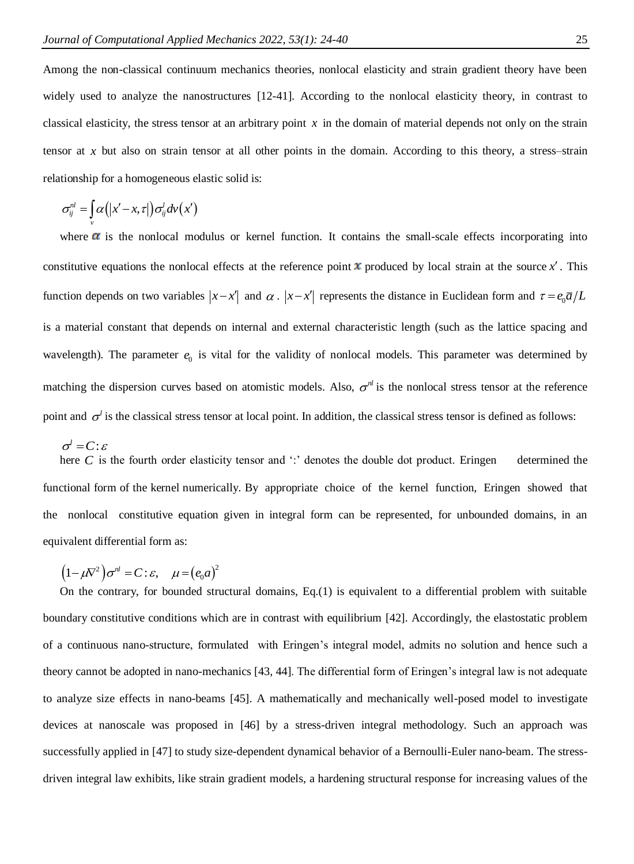Among the non-classical continuum mechanics theories, nonlocal elasticity and strain gradient theory have been widely used to analyze the nanostructures [\[12-41\]](#page-12-9). According to the nonlocal elasticity theory, in contrast to classical elasticity, the stress tensor at an arbitrary point *x* in the domain of material depends not only on the strain tensor at x but also on strain tensor at all other points in the domain. According to this theory, a stress-strain relationship for a homogeneous elastic solid is:

$$
\sigma_{ij}^{nl} = \int\limits_{\nu} \alpha(|x'-x,\tau|) \sigma_{ij}^l dv(x')
$$

where  $\alpha$  is the nonlocal modulus or kernel function. It contains the small-scale effects incorporating into constitutive equations the nonlocal effects at the reference point  $\bm{x}$  produced by local strain at the source  $x'$ . This function depends on two variables  $|x-x'|$  and  $\alpha$ .  $|x-x'|$  represents the distance in Euclidean form and  $\tau = e_0 \overline{a}/L$ is a material constant that depends on internal and external characteristic length (such as the lattice spacing and wavelength). The parameter  $e_0$  is vital for the validity of nonlocal models. This parameter was determined by matching the dispersion curves based on atomistic models. Also,  $\sigma^{nl}$  is the nonlocal stress tensor at the reference point and  $\sigma$ <sup>*l*</sup> is the classical stress tensor at local point. In addition, the classical stress tensor is defined as follows:

# $\sigma^l = C : \varepsilon$

here  $C$  is the fourth order elasticity tensor and  $\cdot$ : denotes the double dot product. Eringen determined the functional form of the kernel numerically. By appropriate choice of the kernel function, Eringen showed that the nonlocal constitutive equation given in integral form can be represented, for unbounded domains, in an equivalent differential form as:

$$
(1 - \mu \nabla^2) \sigma^{nl} = C : \varepsilon, \quad \mu = (e_0 a)^2
$$

On the contrary, for bounded structural domains, Eq.(1) is equivalent to a differential problem with suitable boundary constitutive conditions which are in contrast with equilibrium [\[42\]](#page-13-0). Accordingly, the elastostatic problem of a continuous nano-structure, formulated with Eringen's integral model, admits no solution and hence such a theory cannot be adopted in nano-mechanics [\[43,](#page-14-0) [44\]](#page-14-1). The differential form of Eringen's integral law is not adequate to analyze size effects in nano-beams [\[45\]](#page-14-2). A mathematically and mechanically well-posed model to investigate devices at nanoscale was proposed in [\[46\]](#page-14-3) by a stress-driven integral methodology. Such an approach was successfully applied in [\[47\]](#page-14-4) to study size-dependent dynamical behavior of a Bernoulli-Euler nano-beam. The stressdriven integral law exhibits, like strain gradient models, a hardening structural response for increasing values of the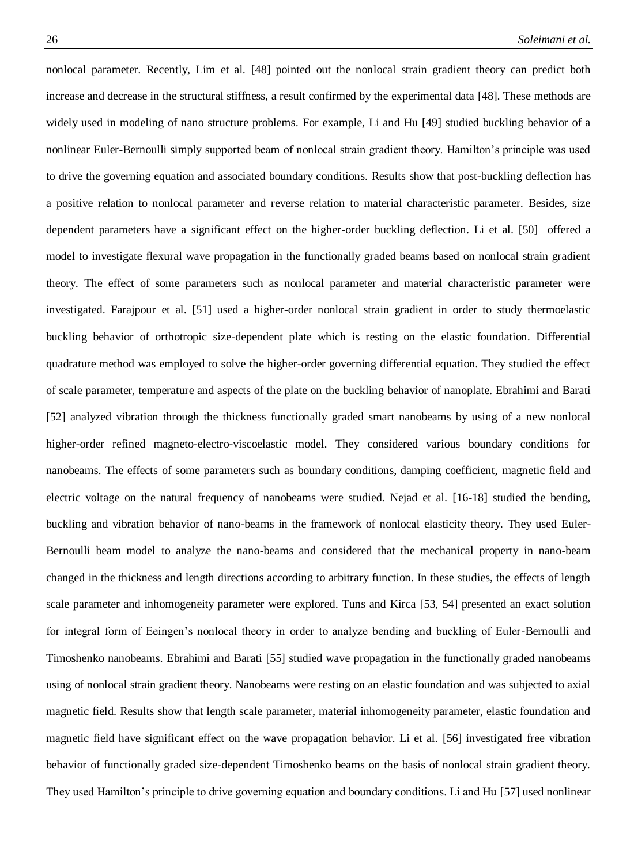nonlocal parameter. Recently, Lim et al. [\[48\]](#page-14-5) pointed out the nonlocal strain gradient theory can predict both increase and decrease in the structural stiffness, a result confirmed by the experimental data [\[48\]](#page-14-5). These methods are widely used in modeling of nano structure problems. For example, Li and Hu [\[49\]](#page-14-6) studied buckling behavior of a nonlinear Euler-Bernoulli simply supported beam of nonlocal strain gradient theory. Hamilton's principle was used to drive the governing equation and associated boundary conditions. Results show that post-buckling deflection has a positive relation to nonlocal parameter and reverse relation to material characteristic parameter. Besides, size dependent parameters have a significant effect on the higher-order buckling deflection. Li et al. [\[50\]](#page-14-7) offered a model to investigate flexural wave propagation in the functionally graded beams based on nonlocal strain gradient theory. The effect of some parameters such as nonlocal parameter and material characteristic parameter were investigated. Farajpour et al. [\[51\]](#page-14-8) used a higher-order nonlocal strain gradient in order to study thermoelastic buckling behavior of orthotropic size-dependent plate which is resting on the elastic foundation. Differential quadrature method was employed to solve the higher-order governing differential equation. They studied the effect of scale parameter, temperature and aspects of the plate on the buckling behavior of nanoplate. Ebrahimi and Barati [\[52\]](#page-14-9) analyzed vibration through the thickness functionally graded smart nanobeams by using of a new nonlocal higher-order refined magneto-electro-viscoelastic model. They considered various boundary conditions for nanobeams. The effects of some parameters such as boundary conditions, damping coefficient, magnetic field and electric voltage on the natural frequency of nanobeams were studied. Nejad et al. [\[16-18\]](#page-12-10) studied the bending, buckling and vibration behavior of nano-beams in the framework of nonlocal elasticity theory. They used Euler-Bernoulli beam model to analyze the nano-beams and considered that the mechanical property in nano-beam changed in the thickness and length directions according to arbitrary function. In these studies, the effects of length scale parameter and inhomogeneity parameter were explored. Tuns and Kirca [\[53,](#page-14-10) [54\]](#page-14-11) presented an exact solution for integral form of Eeingen's nonlocal theory in order to analyze bending and buckling of Euler-Bernoulli and Timoshenko nanobeams. Ebrahimi and Barati [\[55\]](#page-14-12) studied wave propagation in the functionally graded nanobeams using of nonlocal strain gradient theory. Nanobeams were resting on an elastic foundation and was subjected to axial magnetic field. Results show that length scale parameter, material inhomogeneity parameter, elastic foundation and magnetic field have significant effect on the wave propagation behavior. Li et al. [\[56\]](#page-14-13) investigated free vibration behavior of functionally graded size-dependent Timoshenko beams on the basis of nonlocal strain gradient theory. They used Hamilton's principle to drive governing equation and boundary conditions. Li and Hu [\[57\]](#page-14-14) used nonlinear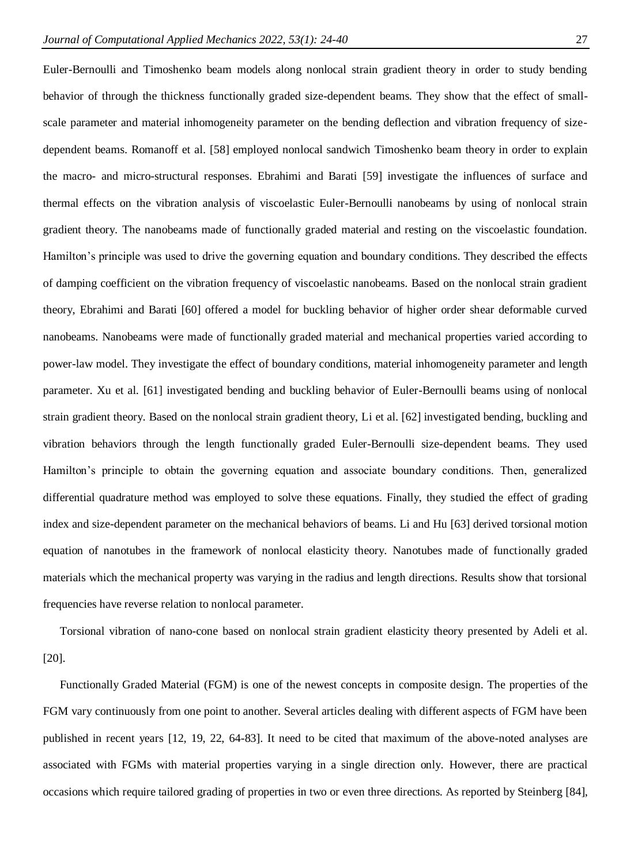Euler-Bernoulli and Timoshenko beam models along nonlocal strain gradient theory in order to study bending behavior of through the thickness functionally graded size-dependent beams. They show that the effect of smallscale parameter and material inhomogeneity parameter on the bending deflection and vibration frequency of sizedependent beams. Romanoff et al. [\[58\]](#page-14-15) employed nonlocal sandwich Timoshenko beam theory in order to explain the macro- and micro-structural responses. Ebrahimi and Barati [\[59\]](#page-14-16) investigate the influences of surface and thermal effects on the vibration analysis of viscoelastic Euler-Bernoulli nanobeams by using of nonlocal strain gradient theory. The nanobeams made of functionally graded material and resting on the viscoelastic foundation. Hamilton's principle was used to drive the governing equation and boundary conditions. They described the effects of damping coefficient on the vibration frequency of viscoelastic nanobeams. Based on the nonlocal strain gradient theory, Ebrahimi and Barati [\[60\]](#page-14-17) offered a model for buckling behavior of higher order shear deformable curved nanobeams. Nanobeams were made of functionally graded material and mechanical properties varied according to power-law model. They investigate the effect of boundary conditions, material inhomogeneity parameter and length parameter. Xu et al. [\[61\]](#page-14-18) investigated bending and buckling behavior of Euler-Bernoulli beams using of nonlocal strain gradient theory. Based on the nonlocal strain gradient theory, Li et al. [\[62\]](#page-15-0) investigated bending, buckling and vibration behaviors through the length functionally graded Euler-Bernoulli size-dependent beams. They used Hamilton's principle to obtain the governing equation and associate boundary conditions. Then, generalized differential quadrature method was employed to solve these equations. Finally, they studied the effect of grading index and size-dependent parameter on the mechanical behaviors of beams. Li and Hu [\[63\]](#page-15-1) derived torsional motion equation of nanotubes in the framework of nonlocal elasticity theory. Nanotubes made of functionally graded materials which the mechanical property was varying in the radius and length directions. Results show that torsional frequencies have reverse relation to nonlocal parameter.

Torsional vibration of nano-cone based on nonlocal strain gradient elasticity theory presented by Adeli et al. [\[20\]](#page-13-1).

Functionally Graded Material (FGM) is one of the newest concepts in composite design. The properties of the FGM vary continuously from one point to another. Several articles dealing with different aspects of FGM have been published in recent years [\[12,](#page-12-9) [19,](#page-12-11) [22,](#page-13-2) [64-83\]](#page-15-2). It need to be cited that maximum of the above-noted analyses are associated with FGMs with material properties varying in a single direction only. However, there are practical occasions which require tailored grading of properties in two or even three directions. As reported by Steinberg [\[84\]](#page-15-3),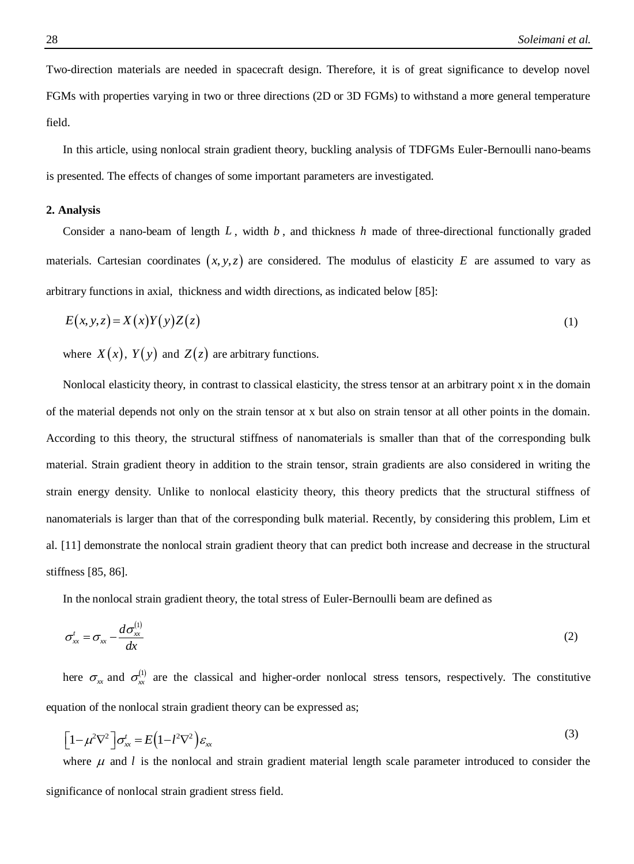Two-direction materials are needed in spacecraft design. Therefore, it is of great significance to develop novel FGMs with properties varying in two or three directions (2D or 3D FGMs) to withstand a more general temperature field.

In this article, using nonlocal strain gradient theory, buckling analysis of TDFGMs Euler-Bernoulli nano-beams is presented. The effects of changes of some important parameters are investigated.

#### **2. Analysis**

Consider a nano-beam of length L, width b, and thickness h made of three-directional functionally graded materials. Cartesian coordinates  $(x, y, z)$  are considered. The modulus of elasticity E are assumed to vary as arbitrary functions in axial, thickness and width directions, as indicated below [\[85\]](#page-16-0):

$$
E(x, y, z) = X(x)Y(y)Z(z)
$$
\n(1)

where  $X(x)$ ,  $Y(y)$  and  $Z(z)$  are arbitrary functions.

Nonlocal elasticity theory, in contrast to classical elasticity, the stress tensor at an arbitrary point x in the domain of the material depends not only on the strain tensor at x but also on strain tensor at all other points in the domain. According to this theory, the structural stiffness of nanomaterials is smaller than that of the corresponding bulk material. Strain gradient theory in addition to the strain tensor, strain gradients are also considered in writing the strain energy density. Unlike to nonlocal elasticity theory, this theory predicts that the structural stiffness of nanomaterials is larger than that of the corresponding bulk material. Recently, by considering this problem, Lim et al. [\[11\]](#page-12-8) demonstrate the nonlocal strain gradient theory that can predict both increase and decrease in the structural stiffness [\[85,](#page-16-0) [86\]](#page-16-1).

In the nonlocal strain gradient theory, the total stress of Euler-Bernoulli beam are defined as

$$
\sigma'_{xx} = \sigma_{xx} - \frac{d\sigma_{xx}^{(1)}}{dx}
$$
 (2)

here  $\sigma_{xx}$  and  $\sigma_{xx}^{(1)}$  are the classical and higher-order nonlocal stress tensors, respectively. The constitutive equation of the nonlocal strain gradient theory can be expressed as;

$$
\left[1-\mu^2 \nabla^2\right] \sigma_{xx}^{\prime} = E\left(1-l^2 \nabla^2\right) \varepsilon_{xx}
$$
\n(3)

where  $\mu$  and  $l$  is the nonlocal and strain gradient material length scale parameter introduced to consider the significance of nonlocal strain gradient stress field.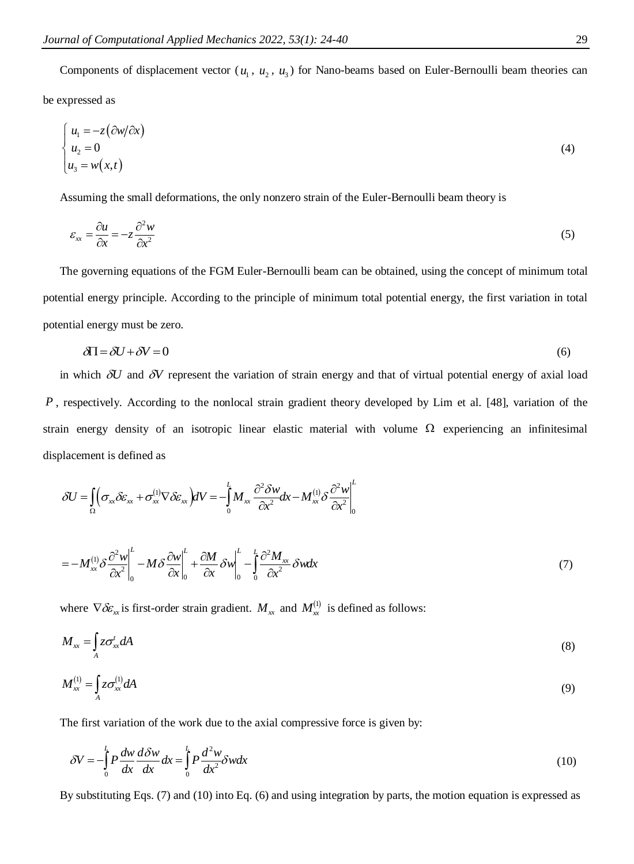$$
\begin{cases}\n u_1 = -z \left( \frac{\partial w}{\partial x} \right) \\
 u_2 = 0 \\
 u_3 = w(x,t)\n\end{cases} (4)
$$

Assuming the small deformations, the only nonzero strain of the Euler-Bernoulli beam theory is

$$
\varepsilon_{xx} = \frac{\partial u}{\partial x} = -z \frac{\partial^2 w}{\partial x^2} \tag{5}
$$

The governing equations of the FGM Euler-Bernoulli beam can be obtained, using the concept of minimum total potential energy principle. According to the principle of minimum total potential energy, the first variation in total potential energy must be zero.

$$
\delta \Pi = \delta U + \delta V = 0 \tag{6}
$$

in which  $\delta U$  and  $\delta V$  represent the variation of strain energy and that of virtual potential energy of axial load *P* , respectively. According to the nonlocal strain gradient theory developed by Lim et al. [\[48\]](#page-14-5), variation of the strain energy density of an isotropic linear elastic material with volume  $\Omega$  experiencing an infinitesimal displacement is defined as

placement is defined as  
\n
$$
\delta U = \int_{\Omega} \left( \sigma_{xx} \delta \varepsilon_{xx} + \sigma_{xx}^{(1)} \nabla \delta \varepsilon_{xx} \right) dV = -\int_{0}^{L} M_{xx} \frac{\partial^2 \delta w}{\partial x^2} dx - M_{xx}^{(1)} \delta \frac{\partial^2 w}{\partial x^2} \Big|_{0}^{L}
$$
\n
$$
= -M_{xx}^{(1)} \delta \frac{\partial^2 w}{\partial x^2} \Big|_{0}^{L} - M \delta \frac{\partial w}{\partial x} \Big|_{0}^{L} + \frac{\partial M}{\partial x} \delta w \Big|_{0}^{L} - \int_{0}^{L} \frac{\partial^2 M_{xx}}{\partial x^2} \delta w dx \tag{7}
$$

where  $\nabla \delta \varepsilon_{xx}$  is first-order strain gradient.  $M_{xx}$  and  $M_{xx}^{(1)}$  is defined as follows:

$$
M_{xx} = \int_{A} z \sigma_{xx}^t dA \tag{8}
$$

$$
M_{xx}^{(1)} = \int_A z \sigma_{xx}^{(1)} dA \tag{9}
$$

The first variation of the work due to the axial compressive force is given by:

$$
\delta V = -\int_{0}^{L} P \frac{dw}{dx} \frac{d\delta w}{dx} dx = \int_{0}^{L} P \frac{d^2 w}{dx^2} \delta w dx
$$
\n(10)

By substituting Eqs. (7) and (10) into Eq. (6) and using integration by parts, the motion equation is expressed as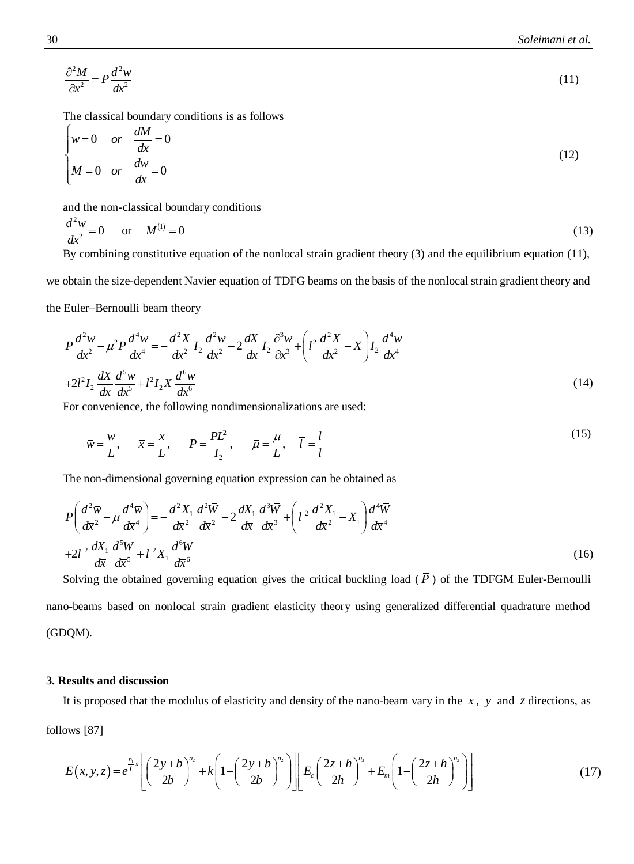$$
\frac{\partial^2 M}{\partial x^2} = P \frac{d^2 w}{dx^2} \tag{11}
$$

The classical boundary conditions is as follows

*dM*

$$
\begin{cases}\nw = 0 & or \quad \frac{dM}{dx} = 0 \\
M = 0 & or \quad \frac{dw}{dx} = 0\n\end{cases}
$$
\n(12)

and the non-classical boundary conditions

$$
\frac{d^2w}{dx^2} = 0 \quad \text{or} \quad M^{(1)} = 0 \tag{13}
$$

By combining constitutive equation of the nonlocal strain gradient theory (3) and the equilibrium equation (11), we obtain the size-dependent Navier equation of TDFG beams on the basis of the nonlocal strain gradient theory and the Euler–Bernoulli beam theory

Euler–Bernoulli beam theory  
\n
$$
P\frac{d^2w}{dx^2} - \mu^2 P \frac{d^4w}{dx^4} = -\frac{d^2X}{dx^2} I_2 \frac{d^2w}{dx^2} - 2\frac{dX}{dx} I_2 \frac{\partial^3w}{dx^3} + \left(l^2 \frac{d^2X}{dx^2} - X\right) I_2 \frac{d^4w}{dx^4}
$$
\n
$$
+2l^2 I_2 \frac{dX}{dx} \frac{d^5w}{dx^5} + l^2 I_2 X \frac{d^6w}{dx^6}
$$
\n(14)

For convenience, the following nondimensionalizations are used:

$$
\overline{w} = \frac{w}{L}, \qquad \overline{x} = \frac{x}{L}, \qquad \overline{P} = \frac{PL^2}{I_2}, \qquad \overline{\mu} = \frac{\mu}{L}, \quad \overline{l} = \frac{l}{l}
$$
\n
$$
(15)
$$

The non-dimensional governing equation expression can be obtained as  
\n
$$
\overline{P}\left(\frac{d^2\overline{w}}{d\overline{x}^2} - \overline{\mu}\frac{d^4\overline{w}}{d\overline{x}^4}\right) = -\frac{d^2X_1}{d\overline{x}^2}\frac{d^2\overline{w}}{d\overline{x}^2} - 2\frac{dX_1}{d\overline{x}}\frac{d^3\overline{w}}{d\overline{x}^3} + \left(\overline{L^2}\frac{d^2X_1}{d\overline{x}^2} - X_1\right)\frac{d^4\overline{w}}{d\overline{x}^4}
$$
\n
$$
+2\overline{L^2}\frac{dX_1}{d\overline{x}}\frac{d^5\overline{w}}{d\overline{x}^5} + \overline{L^2}X_1\frac{d^6\overline{w}}{d\overline{x}^6}
$$
\n(16)

Solving the obtained governing equation gives the critical buckling load  $(\bar{P})$  of the TDFGM Euler-Bernoulli nano-beams based on nonlocal strain gradient elasticity theory using generalized differential quadrature method (GDQM).

# **3. Results and discussion**

It is proposed that the modulus of elasticity and density of the nano-beam vary in the  $x$ ,  $y$  and  $z$  directions, as

follows [87]  
\n
$$
E(x, y, z) = e^{\frac{n_1}{L}x} \left[ \left( \frac{2y+b}{2b} \right)^{n_2} + k \left( 1 - \left( \frac{2y+b}{2b} \right)^{n_2} \right) \right] \left[ E_c \left( \frac{2z+h}{2h} \right)^{n_3} + E_m \left( 1 - \left( \frac{2z+h}{2h} \right)^{n_3} \right) \right]
$$
\n(17)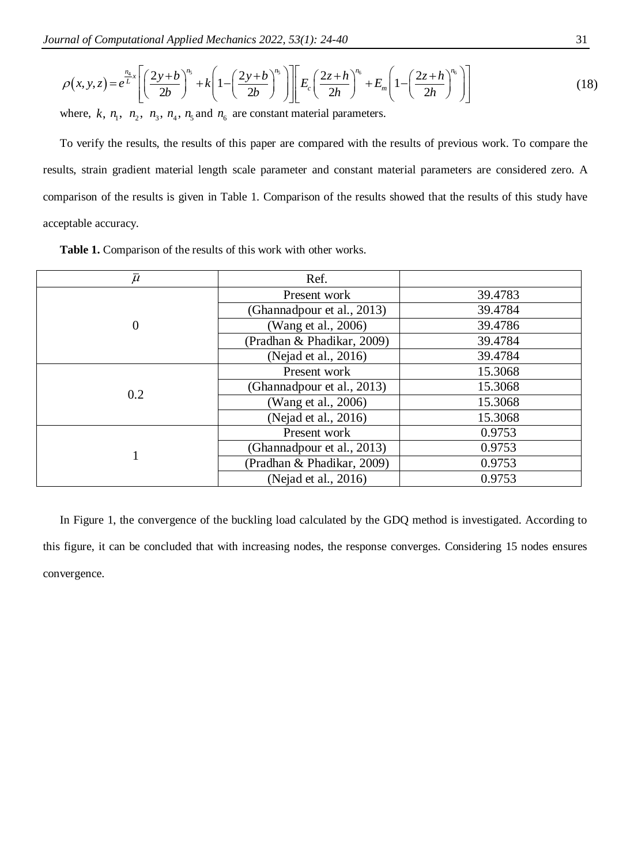Journal of Computational Applied Mechanics 2022, 53(1): 24-40  
\n
$$
\rho(x, y, z) = e^{\frac{n_4}{L}x} \left[ \left( \frac{2y+b}{2b} \right)^{n_5} + k \left( 1 - \left( \frac{2y+b}{2b} \right)^{n_6} \right) \right] \left[ E_c \left( \frac{2z+h}{2h} \right)^{n_6} + E_m \left( 1 - \left( \frac{2z+h}{2h} \right)^{n_6} \right) \right]
$$
\n(18)

where,  $k$ ,  $n_1$ ,  $n_2$ ,  $n_3$ ,  $n_4$ ,  $n_5$  and  $n_6$  are constant material parameters.

To verify the results, the results of this paper are compared with the results of previous work. To compare the results, strain gradient material length scale parameter and constant material parameters are considered zero. A comparison of the results is given in Table 1. Comparison of the results showed that the results of this study have acceptable accuracy.

| $\bar{\mu}$      | Ref.                       |         |
|------------------|----------------------------|---------|
| $\boldsymbol{0}$ | Present work               | 39.4783 |
|                  | (Ghannadpour et al., 2013) | 39.4784 |
|                  | (Wang et al., 2006)        | 39.4786 |
|                  | (Pradhan & Phadikar, 2009) | 39.4784 |
|                  | (Nejad et al., 2016)       | 39.4784 |
| 0.2              | Present work               | 15.3068 |
|                  | (Ghannadpour et al., 2013) | 15.3068 |
|                  | (Wang et al., 2006)        | 15.3068 |
|                  | (Nejad et al., 2016)       | 15.3068 |
|                  | Present work               | 0.9753  |
|                  | (Ghannadpour et al., 2013) | 0.9753  |
|                  | (Pradhan & Phadikar, 2009) | 0.9753  |
|                  | (Nejad et al., 2016)       | 0.9753  |

**Table 1.** Comparison of the results of this work with other works.

In Figure 1, the convergence of the buckling load calculated by the GDQ method is investigated. According to this figure, it can be concluded that with increasing nodes, the response converges. Considering 15 nodes ensures convergence.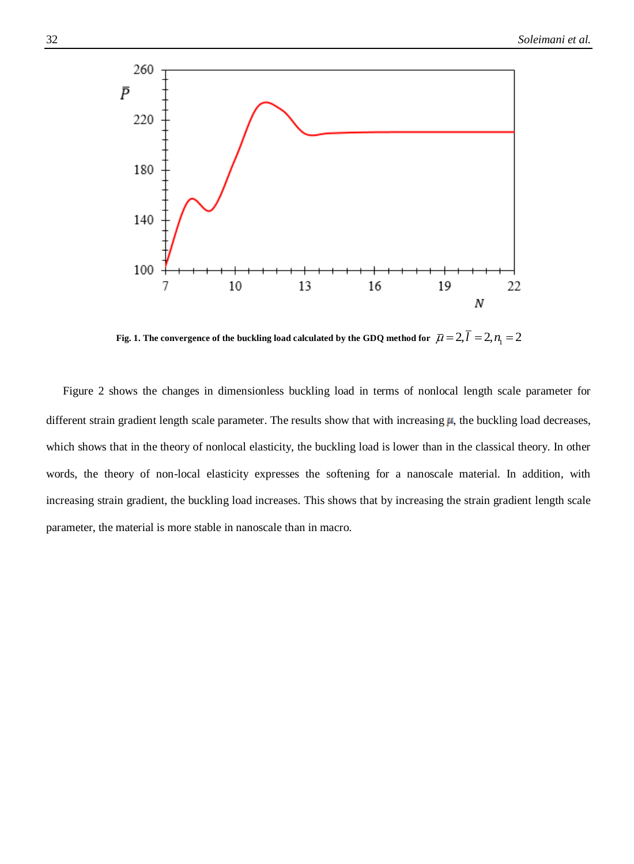

Fig. 1. The convergence of the buckling load calculated by the GDQ method for  $\bar{\mu} = 2, \bar{l} = 2, \eta_{1} = 2$ 

Figure 2 shows the changes in dimensionless buckling load in terms of nonlocal length scale parameter for different strain gradient length scale parameter. The results show that with increasing  $\mu$ , the buckling load decreases, which shows that in the theory of nonlocal elasticity, the buckling load is lower than in the classical theory. In other words, the theory of non-local elasticity expresses the softening for a nanoscale material. In addition, with increasing strain gradient, the buckling load increases. This shows that by increasing the strain gradient length scale parameter, the material is more stable in nanoscale than in macro.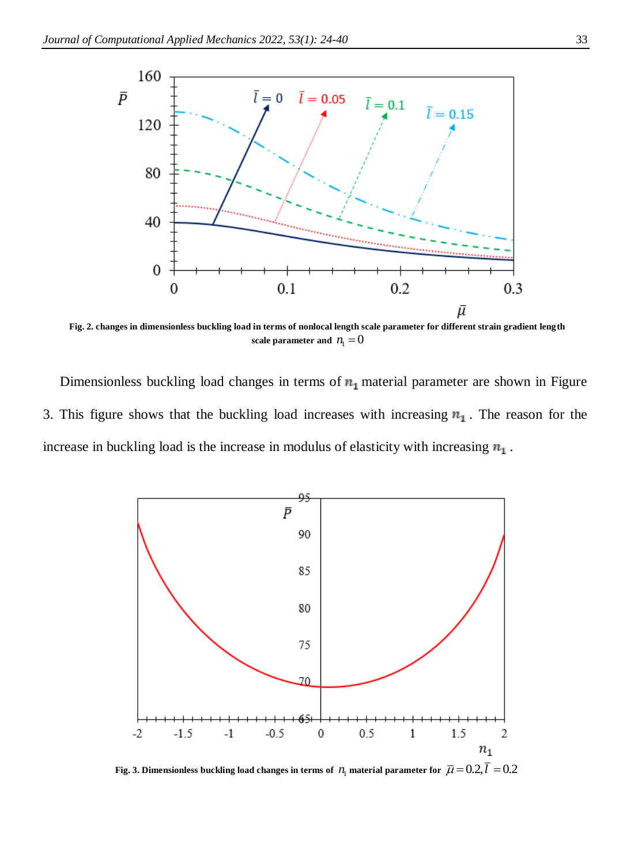

**Fig. 2. changes in dimensionless buckling load in terms of nonlocal length scale parameter for different strain gradient length**  scale parameter and  $n_1 = 0$ 

Dimensionless buckling load changes in terms of  $n_1$  material parameter are shown in Figure 3. This figure shows that the buckling load increases with increasing  $n_1$ . The reason for the increase in buckling load is the increase in modulus of elasticity with increasing  $n_1$ .



Fig. 3. Dimensionless buckling load changes in terms of  $~n_{\!\scriptscriptstyle 1}$  material parameter for  $~\bar\mu$  =  $0.2, \bar l$  =  $0.2$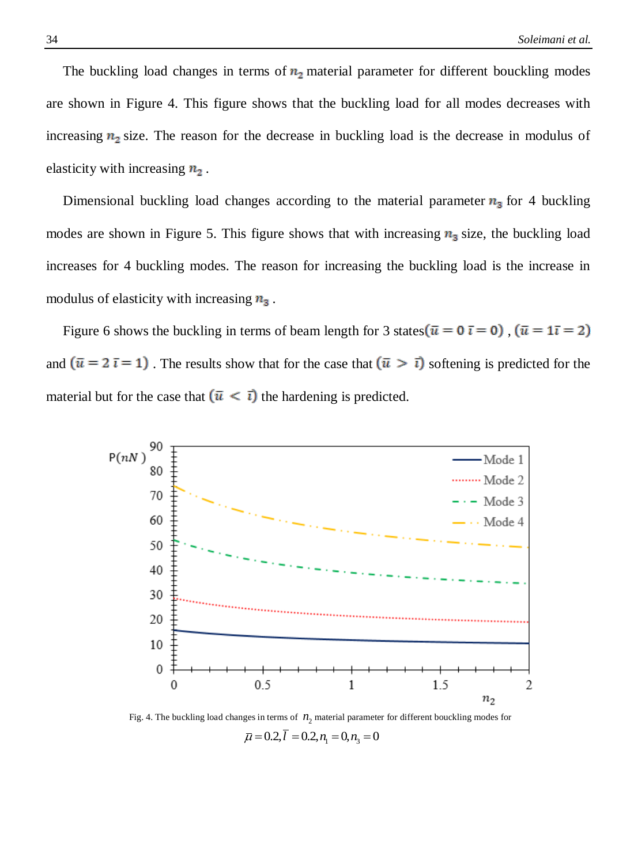The buckling load changes in terms of  $n_2$  material parameter for different bouckling modes are shown in Figure 4. This figure shows that the buckling load for all modes decreases with increasing  $n_2$  size. The reason for the decrease in buckling load is the decrease in modulus of elasticity with increasing  $n_2$ .

Dimensional buckling load changes according to the material parameter  $n_3$  for 4 buckling modes are shown in Figure 5. This figure shows that with increasing  $n_3$  size, the buckling load increases for 4 buckling modes. The reason for increasing the buckling load is the increase in modulus of elasticity with increasing  $n_3$ .

Figure 6 shows the buckling in terms of beam length for 3 states  $(\bar{u} = 0 \bar{v} = 0)$ ,  $(\bar{u} = 1\bar{v} = 2)$ and  $(\bar{u} = 2 \bar{v} = 1)$ . The results show that for the case that  $(\bar{u} > \bar{v})$  softening is predicted for the material but for the case that  $(\bar{u} < \bar{t})$  the hardening is predicted.



Fig. 4. The buckling load changes in terms of  $n_2$  material parameter for different bouckling modes for

 $\overline{\mu} = 0.2, \overline{l} = 0.2, n_1 = 0, n_2 = 0$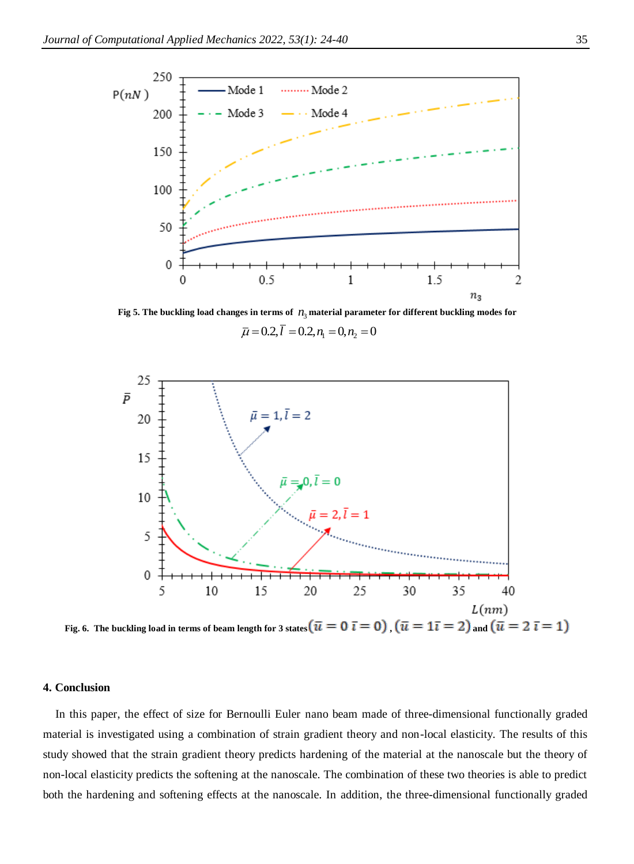

Fig 5. The buckling load changes in terms of  $n_3$  material parameter for different buckling modes for

 $\overline{\mu} = 0.2, \overline{l} = 0.2, n_1 = 0, n_2 = 0$ 



**Fig. 6.** The buckling load in terms of beam length for 3 states  $(\bar{u} = 0 \bar{v} = 0)$ ,  $(\bar{u} = 1\bar{v} = 2)$  and  $(\bar{u} = 2 \bar{v} = 1)$ 

## **4. Conclusion**

 In this paper, the effect of size for Bernoulli Euler nano beam made of three-dimensional functionally graded material is investigated using a combination of strain gradient theory and non-local elasticity. The results of this study showed that the strain gradient theory predicts hardening of the material at the nanoscale but the theory of non-local elasticity predicts the softening at the nanoscale. The combination of these two theories is able to predict both the hardening and softening effects at the nanoscale. In addition, the three-dimensional functionally graded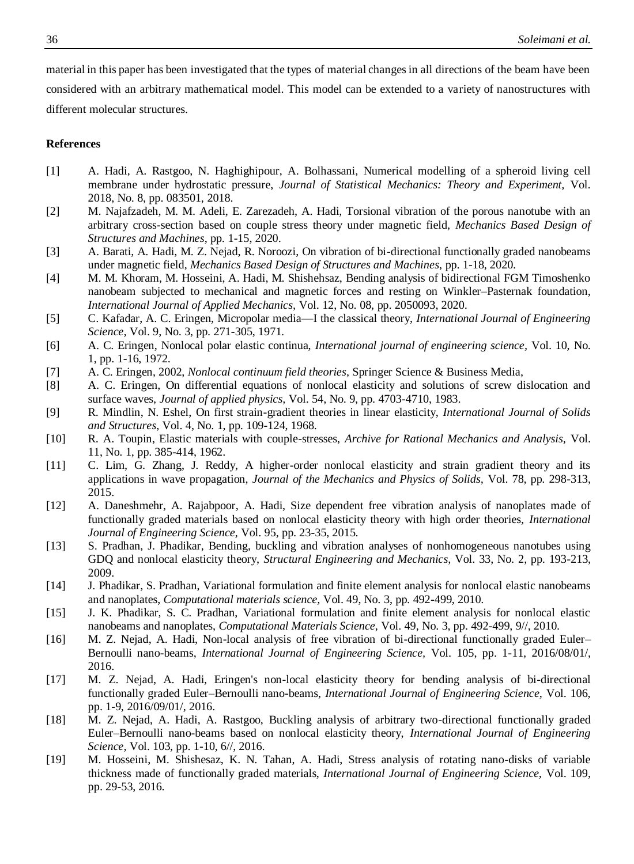material in this paper has been investigated that the types of material changes in all directions of the beam have been considered with an arbitrary mathematical model. This model can be extended to a variety of nanostructures with different molecular structures.

#### **References**

- <span id="page-12-0"></span>[1] A. Hadi, A. Rastgoo, N. Haghighipour, A. Bolhassani, Numerical modelling of a spheroid living cell membrane under hydrostatic pressure, *Journal of Statistical Mechanics: Theory and Experiment,* Vol. 2018, No. 8, pp. 083501, 2018.
- <span id="page-12-1"></span>[2] M. Najafzadeh, M. M. Adeli, E. Zarezadeh, A. Hadi, Torsional vibration of the porous nanotube with an arbitrary cross-section based on couple stress theory under magnetic field, *Mechanics Based Design of Structures and Machines*, pp. 1-15, 2020.
- <span id="page-12-2"></span>[3] A. Barati, A. Hadi, M. Z. Nejad, R. Noroozi, On vibration of bi-directional functionally graded nanobeams under magnetic field, *Mechanics Based Design of Structures and Machines*, pp. 1-18, 2020.
- <span id="page-12-3"></span>[4] M. M. Khoram, M. Hosseini, A. Hadi, M. Shishehsaz, Bending analysis of bidirectional FGM Timoshenko nanobeam subjected to mechanical and magnetic forces and resting on Winkler–Pasternak foundation, *International Journal of Applied Mechanics,* Vol. 12, No. 08, pp. 2050093, 2020.
- <span id="page-12-4"></span>[5] C. Kafadar, A. C. Eringen, Micropolar media—I the classical theory, *International Journal of Engineering Science,* Vol. 9, No. 3, pp. 271-305, 1971.
- <span id="page-12-5"></span>[6] A. C. Eringen, Nonlocal polar elastic continua, *International journal of engineering science,* Vol. 10, No. 1, pp. 1-16, 1972.
- [7] A. C. Eringen, 2002, *Nonlocal continuum field theories*, Springer Science & Business Media,
- [8] A. C. Eringen, On differential equations of nonlocal elasticity and solutions of screw dislocation and surface waves, *Journal of applied physics,* Vol. 54, No. 9, pp. 4703-4710, 1983.
- <span id="page-12-6"></span>[9] R. Mindlin, N. Eshel, On first strain-gradient theories in linear elasticity, *International Journal of Solids and Structures,* Vol. 4, No. 1, pp. 109-124, 1968.
- <span id="page-12-7"></span>[10] R. A. Toupin, Elastic materials with couple-stresses, *Archive for Rational Mechanics and Analysis,* Vol. 11, No. 1, pp. 385-414, 1962.
- <span id="page-12-8"></span>[11] C. Lim, G. Zhang, J. Reddy, A higher-order nonlocal elasticity and strain gradient theory and its applications in wave propagation, *Journal of the Mechanics and Physics of Solids,* Vol. 78, pp. 298-313, 2015.
- <span id="page-12-9"></span>[12] A. Daneshmehr, A. Rajabpoor, A. Hadi, Size dependent free vibration analysis of nanoplates made of functionally graded materials based on nonlocal elasticity theory with high order theories, *International Journal of Engineering Science,* Vol. 95, pp. 23-35, 2015.
- [13] S. Pradhan, J. Phadikar, Bending, buckling and vibration analyses of nonhomogeneous nanotubes using GDQ and nonlocal elasticity theory, *Structural Engineering and Mechanics,* Vol. 33, No. 2, pp. 193-213, 2009.
- [14] J. Phadikar, S. Pradhan, Variational formulation and finite element analysis for nonlocal elastic nanobeams and nanoplates, *Computational materials science,* Vol. 49, No. 3, pp. 492-499, 2010.
- [15] J. K. Phadikar, S. C. Pradhan, Variational formulation and finite element analysis for nonlocal elastic nanobeams and nanoplates, *Computational Materials Science,* Vol. 49, No. 3, pp. 492-499, 9//, 2010.
- <span id="page-12-10"></span>[16] M. Z. Nejad, A. Hadi, Non-local analysis of free vibration of bi-directional functionally graded Euler– Bernoulli nano-beams, *International Journal of Engineering Science,* Vol. 105, pp. 1-11, 2016/08/01/, 2016.
- [17] M. Z. Nejad, A. Hadi, Eringen's non-local elasticity theory for bending analysis of bi-directional functionally graded Euler–Bernoulli nano-beams, *International Journal of Engineering Science,* Vol. 106, pp. 1-9, 2016/09/01/, 2016.
- [18] M. Z. Nejad, A. Hadi, A. Rastgoo, Buckling analysis of arbitrary two-directional functionally graded Euler–Bernoulli nano-beams based on nonlocal elasticity theory, *International Journal of Engineering Science,* Vol. 103, pp. 1-10, 6//, 2016.
- <span id="page-12-11"></span>[19] M. Hosseini, M. Shishesaz, K. N. Tahan, A. Hadi, Stress analysis of rotating nano-disks of variable thickness made of functionally graded materials, *International Journal of Engineering Science,* Vol. 109, pp. 29-53, 2016.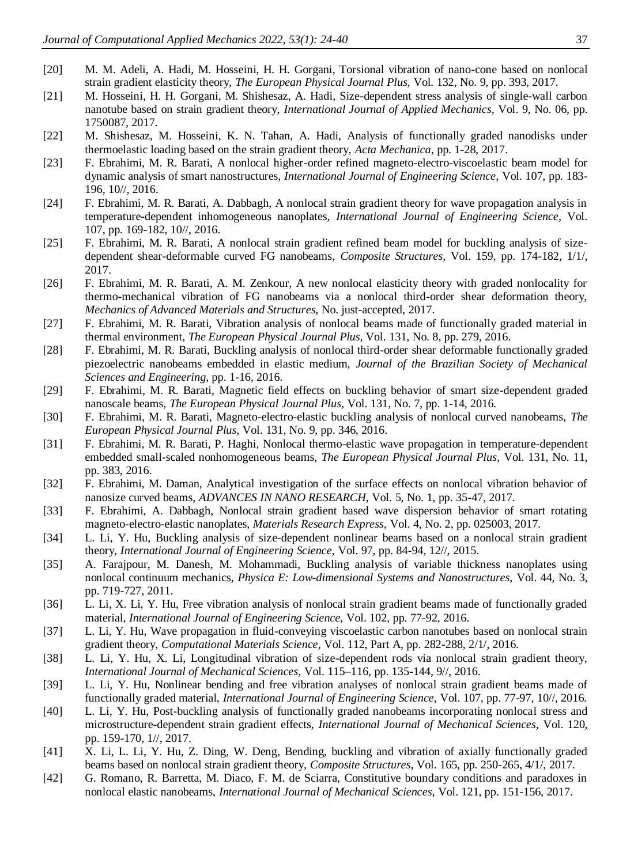- <span id="page-13-1"></span>[20] M. M. Adeli, A. Hadi, M. Hosseini, H. H. Gorgani, Torsional vibration of nano-cone based on nonlocal strain gradient elasticity theory, *The European Physical Journal Plus,* Vol. 132, No. 9, pp. 393, 2017.
- [21] M. Hosseini, H. H. Gorgani, M. Shishesaz, A. Hadi, Size-dependent stress analysis of single-wall carbon nanotube based on strain gradient theory, *International Journal of Applied Mechanics,* Vol. 9, No. 06, pp. 1750087, 2017.
- <span id="page-13-2"></span>[22] M. Shishesaz, M. Hosseini, K. N. Tahan, A. Hadi, Analysis of functionally graded nanodisks under thermoelastic loading based on the strain gradient theory, *Acta Mechanica*, pp. 1-28, 2017.
- [23] F. Ebrahimi, M. R. Barati, A nonlocal higher-order refined magneto-electro-viscoelastic beam model for dynamic analysis of smart nanostructures, *International Journal of Engineering Science,* Vol. 107, pp. 183- 196, 10//, 2016.
- [24] F. Ebrahimi, M. R. Barati, A. Dabbagh, A nonlocal strain gradient theory for wave propagation analysis in temperature-dependent inhomogeneous nanoplates, *International Journal of Engineering Science,* Vol. 107, pp. 169-182, 10//, 2016.
- [25] F. Ebrahimi, M. R. Barati, A nonlocal strain gradient refined beam model for buckling analysis of sizedependent shear-deformable curved FG nanobeams, *Composite Structures,* Vol. 159, pp. 174-182, 1/1/, 2017.
- [26] F. Ebrahimi, M. R. Barati, A. M. Zenkour, A new nonlocal elasticity theory with graded nonlocality for thermo-mechanical vibration of FG nanobeams via a nonlocal third-order shear deformation theory, *Mechanics of Advanced Materials and Structures*, No. just-accepted, 2017.
- [27] F. Ebrahimi, M. R. Barati, Vibration analysis of nonlocal beams made of functionally graded material in thermal environment, *The European Physical Journal Plus,* Vol. 131, No. 8, pp. 279, 2016.
- [28] F. Ebrahimi, M. R. Barati, Buckling analysis of nonlocal third-order shear deformable functionally graded piezoelectric nanobeams embedded in elastic medium, *Journal of the Brazilian Society of Mechanical Sciences and Engineering*, pp. 1-16, 2016.
- [29] F. Ebrahimi, M. R. Barati, Magnetic field effects on buckling behavior of smart size-dependent graded nanoscale beams, *The European Physical Journal Plus,* Vol. 131, No. 7, pp. 1-14, 2016.
- [30] F. Ebrahimi, M. R. Barati, Magneto-electro-elastic buckling analysis of nonlocal curved nanobeams, *The European Physical Journal Plus,* Vol. 131, No. 9, pp. 346, 2016.
- [31] F. Ebrahimi, M. R. Barati, P. Haghi, Nonlocal thermo-elastic wave propagation in temperature-dependent embedded small-scaled nonhomogeneous beams, *The European Physical Journal Plus,* Vol. 131, No. 11, pp. 383, 2016.
- [32] F. Ebrahimi, M. Daman, Analytical investigation of the surface effects on nonlocal vibration behavior of nanosize curved beams, *ADVANCES IN NANO RESEARCH,* Vol. 5, No. 1, pp. 35-47, 2017.
- [33] F. Ebrahimi, A. Dabbagh, Nonlocal strain gradient based wave dispersion behavior of smart rotating magneto-electro-elastic nanoplates, *Materials Research Express,* Vol. 4, No. 2, pp. 025003, 2017.
- [34] L. Li, Y. Hu, Buckling analysis of size-dependent nonlinear beams based on a nonlocal strain gradient theory, *International Journal of Engineering Science,* Vol. 97, pp. 84-94, 12//, 2015.
- [35] A. Farajpour, M. Danesh, M. Mohammadi, Buckling analysis of variable thickness nanoplates using nonlocal continuum mechanics, *Physica E: Low-dimensional Systems and Nanostructures,* Vol. 44, No. 3, pp. 719-727, 2011.
- [36] L. Li, X. Li, Y. Hu, Free vibration analysis of nonlocal strain gradient beams made of functionally graded material, *International Journal of Engineering Science,* Vol. 102, pp. 77-92, 2016.
- [37] L. Li, Y. Hu, Wave propagation in fluid-conveying viscoelastic carbon nanotubes based on nonlocal strain gradient theory, *Computational Materials Science,* Vol. 112, Part A, pp. 282-288, 2/1/, 2016.
- [38] L. Li, Y. Hu, X. Li, Longitudinal vibration of size-dependent rods via nonlocal strain gradient theory, *International Journal of Mechanical Sciences,* Vol. 115–116, pp. 135-144, 9//, 2016.
- [39] L. Li, Y. Hu, Nonlinear bending and free vibration analyses of nonlocal strain gradient beams made of functionally graded material, *International Journal of Engineering Science,* Vol. 107, pp. 77-97, 10//, 2016.
- [40] L. Li, Y. Hu, Post-buckling analysis of functionally graded nanobeams incorporating nonlocal stress and microstructure-dependent strain gradient effects, *International Journal of Mechanical Sciences,* Vol. 120, pp. 159-170, 1//, 2017.
- [41] X. Li, L. Li, Y. Hu, Z. Ding, W. Deng, Bending, buckling and vibration of axially functionally graded beams based on nonlocal strain gradient theory, *Composite Structures,* Vol. 165, pp. 250-265, 4/1/, 2017.
- <span id="page-13-0"></span>[42] G. Romano, R. Barretta, M. Diaco, F. M. de Sciarra, Constitutive boundary conditions and paradoxes in nonlocal elastic nanobeams, *International Journal of Mechanical Sciences,* Vol. 121, pp. 151-156, 2017.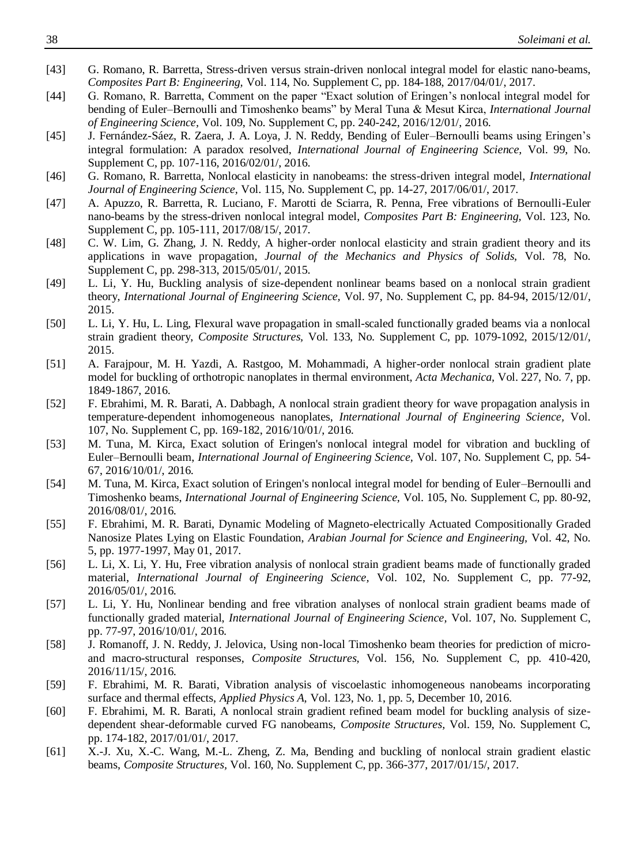- <span id="page-14-0"></span>[43] G. Romano, R. Barretta, Stress-driven versus strain-driven nonlocal integral model for elastic nano-beams, *Composites Part B: Engineering,* Vol. 114, No. Supplement C, pp. 184-188, 2017/04/01/, 2017.
- <span id="page-14-1"></span>[44] G. Romano, R. Barretta, Comment on the paper "Exact solution of Eringen's nonlocal integral model for bending of Euler–Bernoulli and Timoshenko beams" by Meral Tuna & Mesut Kirca, *International Journal of Engineering Science,* Vol. 109, No. Supplement C, pp. 240-242, 2016/12/01/, 2016.
- <span id="page-14-2"></span>[45] J. Fernández-Sáez, R. Zaera, J. A. Loya, J. N. Reddy, Bending of Euler–Bernoulli beams using Eringen's integral formulation: A paradox resolved, *International Journal of Engineering Science,* Vol. 99, No. Supplement C, pp. 107-116, 2016/02/01/, 2016.
- <span id="page-14-3"></span>[46] G. Romano, R. Barretta, Nonlocal elasticity in nanobeams: the stress-driven integral model, *International Journal of Engineering Science,* Vol. 115, No. Supplement C, pp. 14-27, 2017/06/01/, 2017.
- <span id="page-14-4"></span>[47] A. Apuzzo, R. Barretta, R. Luciano, F. Marotti de Sciarra, R. Penna, Free vibrations of Bernoulli-Euler nano-beams by the stress-driven nonlocal integral model, *Composites Part B: Engineering,* Vol. 123, No. Supplement C, pp. 105-111, 2017/08/15/, 2017.
- <span id="page-14-5"></span>[48] C. W. Lim, G. Zhang, J. N. Reddy, A higher-order nonlocal elasticity and strain gradient theory and its applications in wave propagation, *Journal of the Mechanics and Physics of Solids,* Vol. 78, No. Supplement C, pp. 298-313, 2015/05/01/, 2015.
- <span id="page-14-6"></span>[49] L. Li, Y. Hu, Buckling analysis of size-dependent nonlinear beams based on a nonlocal strain gradient theory, *International Journal of Engineering Science,* Vol. 97, No. Supplement C, pp. 84-94, 2015/12/01/, 2015.
- <span id="page-14-7"></span>[50] L. Li, Y. Hu, L. Ling, Flexural wave propagation in small-scaled functionally graded beams via a nonlocal strain gradient theory, *Composite Structures,* Vol. 133, No. Supplement C, pp. 1079-1092, 2015/12/01/, 2015.
- <span id="page-14-8"></span>[51] A. Farajpour, M. H. Yazdi, A. Rastgoo, M. Mohammadi, A higher-order nonlocal strain gradient plate model for buckling of orthotropic nanoplates in thermal environment, *Acta Mechanica,* Vol. 227, No. 7, pp. 1849-1867, 2016.
- <span id="page-14-9"></span>[52] F. Ebrahimi, M. R. Barati, A. Dabbagh, A nonlocal strain gradient theory for wave propagation analysis in temperature-dependent inhomogeneous nanoplates, *International Journal of Engineering Science,* Vol. 107, No. Supplement C, pp. 169-182, 2016/10/01/, 2016.
- <span id="page-14-10"></span>[53] M. Tuna, M. Kirca, Exact solution of Eringen's nonlocal integral model for vibration and buckling of Euler–Bernoulli beam, *International Journal of Engineering Science,* Vol. 107, No. Supplement C, pp. 54- 67, 2016/10/01/, 2016.
- <span id="page-14-11"></span>[54] M. Tuna, M. Kirca, Exact solution of Eringen's nonlocal integral model for bending of Euler–Bernoulli and Timoshenko beams, *International Journal of Engineering Science,* Vol. 105, No. Supplement C, pp. 80-92, 2016/08/01/, 2016.
- <span id="page-14-12"></span>[55] F. Ebrahimi, M. R. Barati, Dynamic Modeling of Magneto-electrically Actuated Compositionally Graded Nanosize Plates Lying on Elastic Foundation, *Arabian Journal for Science and Engineering,* Vol. 42, No. 5, pp. 1977-1997, May 01, 2017.
- <span id="page-14-13"></span>[56] L. Li, X. Li, Y. Hu, Free vibration analysis of nonlocal strain gradient beams made of functionally graded material, *International Journal of Engineering Science,* Vol. 102, No. Supplement C, pp. 77-92, 2016/05/01/, 2016.
- <span id="page-14-14"></span>[57] L. Li, Y. Hu, Nonlinear bending and free vibration analyses of nonlocal strain gradient beams made of functionally graded material, *International Journal of Engineering Science,* Vol. 107, No. Supplement C, pp. 77-97, 2016/10/01/, 2016.
- <span id="page-14-15"></span>[58] J. Romanoff, J. N. Reddy, J. Jelovica, Using non-local Timoshenko beam theories for prediction of microand macro-structural responses, *Composite Structures,* Vol. 156, No. Supplement C, pp. 410-420, 2016/11/15/, 2016.
- <span id="page-14-16"></span>[59] F. Ebrahimi, M. R. Barati, Vibration analysis of viscoelastic inhomogeneous nanobeams incorporating surface and thermal effects, *Applied Physics A,* Vol. 123, No. 1, pp. 5, December 10, 2016.
- <span id="page-14-17"></span>[60] F. Ebrahimi, M. R. Barati, A nonlocal strain gradient refined beam model for buckling analysis of sizedependent shear-deformable curved FG nanobeams, *Composite Structures,* Vol. 159, No. Supplement C, pp. 174-182, 2017/01/01/, 2017.
- <span id="page-14-18"></span>[61] X.-J. Xu, X.-C. Wang, M.-L. Zheng, Z. Ma, Bending and buckling of nonlocal strain gradient elastic beams, *Composite Structures,* Vol. 160, No. Supplement C, pp. 366-377, 2017/01/15/, 2017.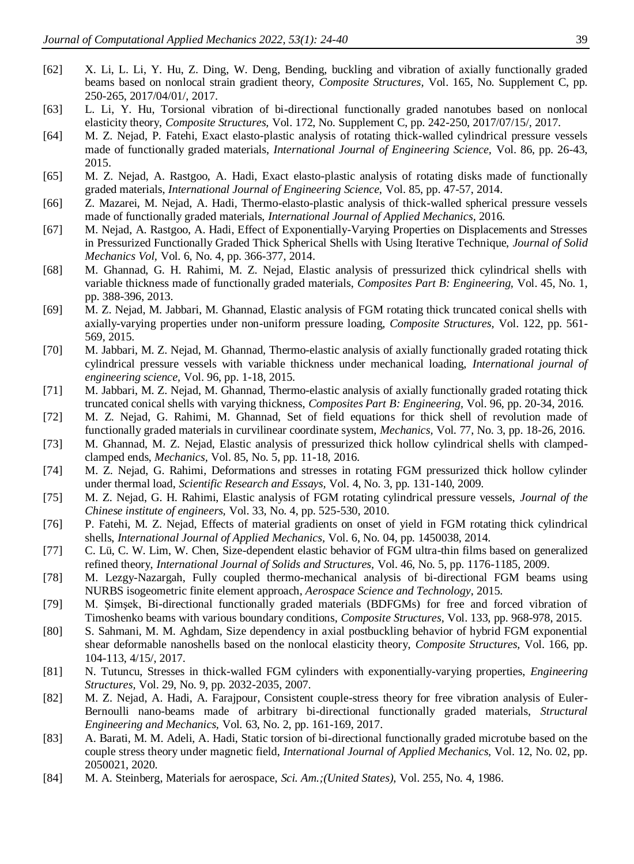- <span id="page-15-0"></span>[62] X. Li, L. Li, Y. Hu, Z. Ding, W. Deng, Bending, buckling and vibration of axially functionally graded beams based on nonlocal strain gradient theory, *Composite Structures,* Vol. 165, No. Supplement C, pp. 250-265, 2017/04/01/, 2017.
- <span id="page-15-1"></span>[63] L. Li, Y. Hu, Torsional vibration of bi-directional functionally graded nanotubes based on nonlocal elasticity theory, *Composite Structures,* Vol. 172, No. Supplement C, pp. 242-250, 2017/07/15/, 2017.
- <span id="page-15-2"></span>[64] M. Z. Nejad, P. Fatehi, Exact elasto-plastic analysis of rotating thick-walled cylindrical pressure vessels made of functionally graded materials, *International Journal of Engineering Science,* Vol. 86, pp. 26-43, 2015.
- [65] M. Z. Nejad, A. Rastgoo, A. Hadi, Exact elasto-plastic analysis of rotating disks made of functionally graded materials, *International Journal of Engineering Science,* Vol. 85, pp. 47-57, 2014.
- [66] Z. Mazarei, M. Nejad, A. Hadi, Thermo-elasto-plastic analysis of thick-walled spherical pressure vessels made of functionally graded materials, *International Journal of Applied Mechanics*, 2016.
- [67] M. Nejad, A. Rastgoo, A. Hadi, Effect of Exponentially-Varying Properties on Displacements and Stresses in Pressurized Functionally Graded Thick Spherical Shells with Using Iterative Technique, *Journal of Solid Mechanics Vol,* Vol. 6, No. 4, pp. 366-377, 2014.
- [68] M. Ghannad, G. H. Rahimi, M. Z. Nejad, Elastic analysis of pressurized thick cylindrical shells with variable thickness made of functionally graded materials, *Composites Part B: Engineering,* Vol. 45, No. 1, pp. 388-396, 2013.
- [69] M. Z. Nejad, M. Jabbari, M. Ghannad, Elastic analysis of FGM rotating thick truncated conical shells with axially-varying properties under non-uniform pressure loading, *Composite Structures,* Vol. 122, pp. 561- 569, 2015.
- [70] M. Jabbari, M. Z. Nejad, M. Ghannad, Thermo-elastic analysis of axially functionally graded rotating thick cylindrical pressure vessels with variable thickness under mechanical loading, *International journal of engineering science,* Vol. 96, pp. 1-18, 2015.
- [71] M. Jabbari, M. Z. Nejad, M. Ghannad, Thermo-elastic analysis of axially functionally graded rotating thick truncated conical shells with varying thickness, *Composites Part B: Engineering,* Vol. 96, pp. 20-34, 2016.
- [72] M. Z. Nejad, G. Rahimi, M. Ghannad, Set of field equations for thick shell of revolution made of functionally graded materials in curvilinear coordinate system, *Mechanics,* Vol. 77, No. 3, pp. 18-26, 2016.
- [73] M. Ghannad, M. Z. Nejad, Elastic analysis of pressurized thick hollow cylindrical shells with clampedclamped ends, *Mechanics,* Vol. 85, No. 5, pp. 11-18, 2016.
- [74] M. Z. Nejad, G. Rahimi, Deformations and stresses in rotating FGM pressurized thick hollow cylinder under thermal load, *Scientific Research and Essays,* Vol. 4, No. 3, pp. 131-140, 2009.
- [75] M. Z. Nejad, G. H. Rahimi, Elastic analysis of FGM rotating cylindrical pressure vessels, *Journal of the Chinese institute of engineers,* Vol. 33, No. 4, pp. 525-530, 2010.
- [76] P. Fatehi, M. Z. Nejad, Effects of material gradients on onset of yield in FGM rotating thick cylindrical shells, *International Journal of Applied Mechanics,* Vol. 6, No. 04, pp. 1450038, 2014.
- [77] C. Lü, C. W. Lim, W. Chen, Size-dependent elastic behavior of FGM ultra-thin films based on generalized refined theory, *International Journal of Solids and Structures,* Vol. 46, No. 5, pp. 1176-1185, 2009.
- [78] M. Lezgy-Nazargah, Fully coupled thermo-mechanical analysis of bi-directional FGM beams using NURBS isogeometric finite element approach, *Aerospace Science and Technology*, 2015.
- [79] M. Şimşek, Bi-directional functionally graded materials (BDFGMs) for free and forced vibration of Timoshenko beams with various boundary conditions, *Composite Structures,* Vol. 133, pp. 968-978, 2015.
- [80] S. Sahmani, M. M. Aghdam, Size dependency in axial postbuckling behavior of hybrid FGM exponential shear deformable nanoshells based on the nonlocal elasticity theory, *Composite Structures,* Vol. 166, pp. 104-113, 4/15/, 2017.
- [81] N. Tutuncu, Stresses in thick-walled FGM cylinders with exponentially-varying properties, *Engineering Structures,* Vol. 29, No. 9, pp. 2032-2035, 2007.
- [82] M. Z. Nejad, A. Hadi, A. Farajpour, Consistent couple-stress theory for free vibration analysis of Euler-Bernoulli nano-beams made of arbitrary bi-directional functionally graded materials, *Structural Engineering and Mechanics,* Vol. 63, No. 2, pp. 161-169, 2017.
- [83] A. Barati, M. M. Adeli, A. Hadi, Static torsion of bi-directional functionally graded microtube based on the couple stress theory under magnetic field, *International Journal of Applied Mechanics,* Vol. 12, No. 02, pp. 2050021, 2020.
- <span id="page-15-3"></span>[84] M. A. Steinberg, Materials for aerospace, *Sci. Am.;(United States),* Vol. 255, No. 4, 1986.